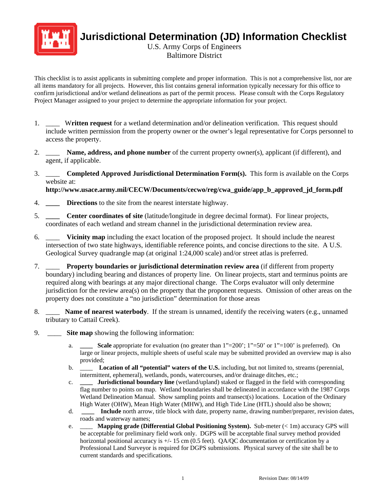

**Jurisdictional Determination (JD) Information Checklist** 

U.S. Army Corps of Engineers Baltimore District

This checklist is to assist applicants in submitting complete and proper information. This is not a comprehensive list, nor are all items mandatory for all projects. However, this list contains general information typically necessary for this office to confirm jurisdictional and/or wetland delineations as part of the permit process. Please consult with the Corps Regulatory Project Manager assigned to your project to determine the appropriate information for your project.

- 1. \_\_\_\_ W**ritten request** for a wetland determination and/or delineation verification. This request should include written permission from the property owner or the owner's legal representative for Corps personnel to access the property.
- 2. \_\_\_\_ **Name, address, and phone number** of the current property owner(s), applicant (if different), and agent, if applicable.
- 3. \_\_\_\_ **Completed Approved Jurisdictional Determination Form(s).** This form is available on the Corps website at:

**http://www.usace.army.mil/CECW/Documents/cecwo/reg/cwa\_guide/app\_b\_approved\_jd\_form.pdf**

- 4. **\_\_\_\_ Directions** to the site from the nearest interstate highway.
- 5. **\_\_\_\_ Center coordinates of site** (latitude/longitude in degree decimal format). For linear projects, coordinates of each wetland and stream channel in the jurisdictional determination review area.
- 6. \_\_\_\_ **Vicinity map** including the exact location of the proposed project. It should include the nearest intersection of two state highways, identifiable reference points, and concise directions to the site. A U.S. Geological Survey quadrangle map (at original 1:24,000 scale) and/or street atlas is preferred.
- 7. \_\_\_\_ **Property boundaries or jurisdictional determination review area** (if different from property boundary) including bearing and distances of property line. On linear projects, start and terminus points are required along with bearings at any major directional change. The Corps evaluator will only determine jurisdiction for the review area(s) on the property that the proponent requests. Omission of other areas on the property does not constitute a "no jurisdiction" determination for those areas
- 8. \_\_\_\_ **Name of nearest waterbody**. If the stream is unnamed, identify the receiving waters (e.g., unnamed tributary to Cattail Creek).
- 9. \_\_\_\_ **Site map** showing the following information:
	- a. **\_\_\_\_ Scale** appropriate for evaluation (no greater than 1"=200'; 1"=50' or 1"=100' is preferred). On large or linear projects, multiple sheets of useful scale may be submitted provided an overview map is also provided;
	- b. \_\_\_\_ **Location of all "potential" waters of the U.S.** including, but not limited to, streams (perennial, intermittent, ephemeral), wetlands, ponds, watercourses, and/or drainage ditches, etc.;
	- c. **\_\_\_\_ Jurisdictional boundary line** (wetland/upland) staked or flagged in the field with corresponding flag number to points on map. Wetland boundaries shall be delineated in accordance with the 1987 Corps Wetland Delineation Manual. Show sampling points and transect(s) locations. Location of the Ordinary High Water (OHW), Mean High Water (MHW), and High Tide Line (HTL) should also be shown;
	- d. **\_\_\_\_ Include** north arrow, title block with date, property name, drawing number/preparer, revision dates, roads and waterway names;
	- e. \_\_\_\_ **Mapping grade (Differential Global Positioning System).** Sub-meter (< 1m) accuracy GPS will be acceptable for preliminary field work only. DGPS will be acceptable final survey method provided horizontal positional accuracy is  $+/-15$  cm (0.5 feet). QA/QC documentation or certification by a Professional Land Surveyor is required for DGPS submissions. Physical survey of the site shall be to current standards and specifications.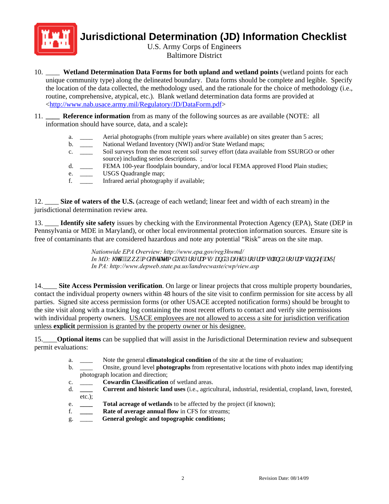

## **Jurisdictional Determination (JD) Information Checklist**

U.S. Army Corps of Engineers Baltimore District

- 10. \_\_\_\_ **Wetland Determination Data Forms for both upland and wetland points** (wetland points for each unique community type) along the delineated boundary. Data forms should be complete and legible. Specify the location of the data collected, the methodology used, and the rationale for the choice of methodology (i.e., routine, comprehensive, atypical, etc.). Blank wetland determination data forms are provided at [<http://www.nab.usace.army.mil/Regulatory/JD/DataForm.pdf](http://www.nab.usace.army.mil/Regulatory/JD/DataForm.pdf)>
- 11. **\_\_\_\_ Reference information** from as many of the following sources as are available (NOTE: all information should have source, data, and a scale)**:**
	- a. Aerial photographs (from multiple years where available) on sites greater than 5 acres;
	- b. \_\_\_\_ National Wetland Inventory (NWI) and/or State Wetland maps;
	- c. \_\_\_\_ Soil surveys from the most recent soil survey effort (data available from SSURGO or other source) including series descriptions. ;
	- d. **EEMA 100-year floodplain boundary, and/or local FEMA approved Flood Plain studies;**
	- e. USGS Quadrangle map;
	- f. \_\_\_\_ Infrared aerial photography if available;

12. \_\_\_\_ **Size of waters of the U.S.** (acreage of each wetland; linear feet and width of each stream) in the jurisdictional determination review area.

13. \_\_\_\_ **Identify site safety** issues by checking with the Environmental Protection Agency (EPA), State (DEP in Pennsylvania or MDE in Maryland), or other local environmental protection information sources. Ensure site is free of contaminants that are considered hazardous and note any potential "Risk" areas on the site map.

> *Nationwide EPA Overview: http://www.epa.gov/reg3hwmd/ In MD: [KWWSZZZPGHVWDWHPGXV3URJUDPV/DQG3DJHV3URJUDPVODQG3URJUDPVLQGH\[DVS\[](http://www.mde.state.md.us/Programs/Land/Pages/Programs/landPrograms/index.aspx) In PA: http://www.depweb.state.pa.us/landrecwaste/cwp/view.asp*

14.\_\_\_\_ **Site Access Permission verification**. On large or linear projects that cross multiple property boundaries, contact the individual property owners within 48 hours of the site visit to confirm permission for site access by all parties. Signed site access permission forms (or other USACE accepted notification forms) should be brought to the site visit along with a tracking log containing the most recent efforts to contact and verify site permissions with individual property owners. USACE employees are not allowed to access a site for jurisdiction verification unless **explicit** permission is granted by the property owner or his designee.

15.\_\_\_\_**Optional items** can be supplied that will assist in the Jurisdictional Determination review and subsequent permit evaluations:

- a. \_\_\_\_ Note the general **climatological condition** of the site at the time of evaluation;
- b. \_\_\_\_ Onsite, ground level **photographs** from representative locations with photo index map identifying photograph location and direction;
- c. \_\_\_\_ **Cowardin Classification** of wetland areas.
- d. **\_\_\_\_ Current and historic land uses** (i.e., agricultural, industrial, residential, cropland, lawn, forested, etc.);
- e. **\_\_\_\_ Total acreage of wetlands** to be affected by the project (if known);
- f. **\_\_\_\_ Rate of average annual flow** in CFS for streams;
- g. \_\_\_\_ **General geologic and topographic conditions;**